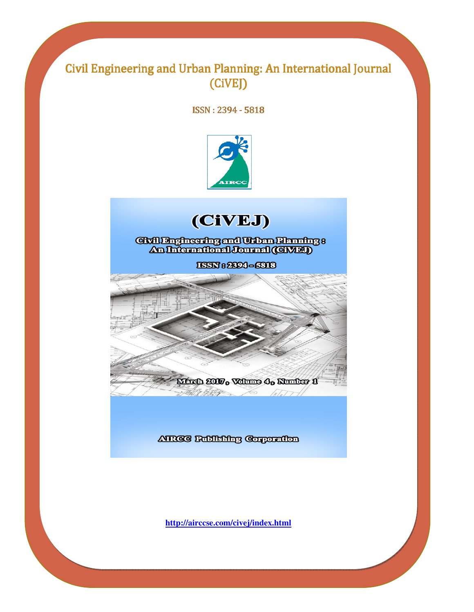# Civil Engineering and Urban Planning: An International Journal (CiVEJ)

ISSN: 2394 - 5818





Grillingheering and Urban Riaming :<br>An International Journal (GWA)

ISSN 82604-6318



### ATROC Bublishing Corporation

**http://airccse.com/civej/index.html**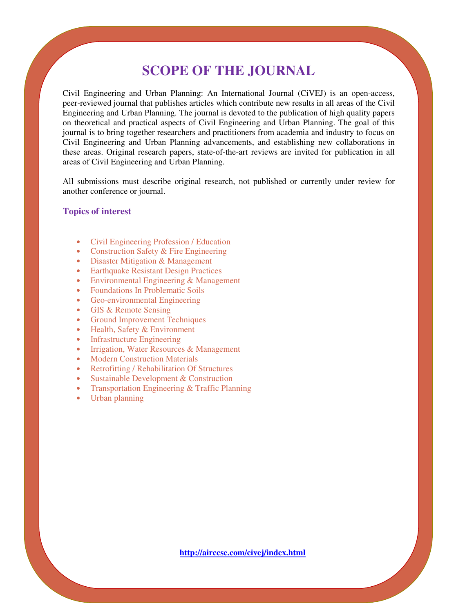# **SCOPE OF THE JOURNAL**

Civil Engineering and Urban Planning: An International Journal (CiVEJ) is an open-access, peer-reviewed journal that publishes articles which contribute new results in all areas of the Civil Engineering and Urban Planning. The journal is devoted to the publication of high quality papers on theoretical and practical aspects of Civil Engineering and Urban Planning. The goal of this journal is to bring together researchers and practitioners from academia and industry to focus on Civil Engineering and Urban Planning advancements, and establishing new collaborations in these areas. Original research papers, state-of-the-art reviews are invited for publication in all areas of Civil Engineering and Urban Planning.

All submissions must describe original research, not published or currently under review for another conference or journal.

#### **Topics of interest**

- Civil Engineering Profession / Education
- Construction Safety & Fire Engineering
- Disaster Mitigation & Management
- Earthquake Resistant Design Practices
- Environmental Engineering & Management
- Foundations In Problematic Soils
- Geo-environmental Engineering
- GIS & Remote Sensing
- Ground Improvement Techniques
- Health, Safety & Environment
- Infrastructure Engineering
- Irrigation, Water Resources & Management
- **Modern Construction Materials**
- Retrofitting / Rehabilitation Of Structures
- Sustainable Development & Construction
- Transportation Engineering & Traffic Planning
- Urban planning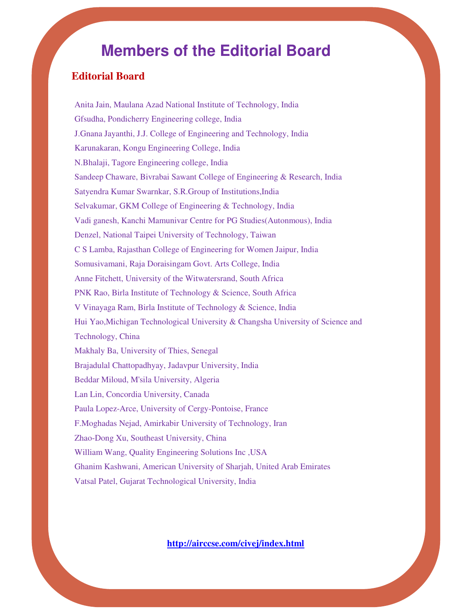# **Members of the Editorial Board**

## **Editorial Board**

Anita Jain, Maulana Azad National Institute of Technology, India Gfsudha, Pondicherry Engineering college, India J.Gnana Jayanthi, J.J. College of Engineering and Technology, India Karunakaran, Kongu Engineering College, India N.Bhalaji, Tagore Engineering college, India Sandeep Chaware, Bivrabai Sawant College of Engineering & Research, India Satyendra Kumar Swarnkar, S.R.Group of Institutions,India Selvakumar, GKM College of Engineering & Technology, India Vadi ganesh, Kanchi Mamunivar Centre for PG Studies(Autonmous), India Denzel, National Taipei University of Technology, Taiwan C S Lamba, Rajasthan College of Engineering for Women Jaipur, India Somusivamani, Raja Doraisingam Govt. Arts College, India Anne Fitchett, University of the Witwatersrand, South Africa PNK Rao, Birla Institute of Technology & Science, South Africa V Vinayaga Ram, Birla Institute of Technology & Science, India Hui Yao,Michigan Technological University & Changsha University of Science and Technology, China Makhaly Ba, University of Thies, Senegal Brajadulal Chattopadhyay, Jadavpur University, India Beddar Miloud, M'sila University, Algeria Lan Lin, Concordia University, Canada Paula Lopez-Arce, University of Cergy-Pontoise, France F.Moghadas Nejad, Amirkabir University of Technology, Iran Zhao-Dong Xu, Southeast University, China William Wang, Quality Engineering Solutions Inc ,USA Ghanim Kashwani, American University of Sharjah, United Arab Emirates Vatsal Patel, Gujarat Technological University, India

**http://airccse.com/civej/index.html**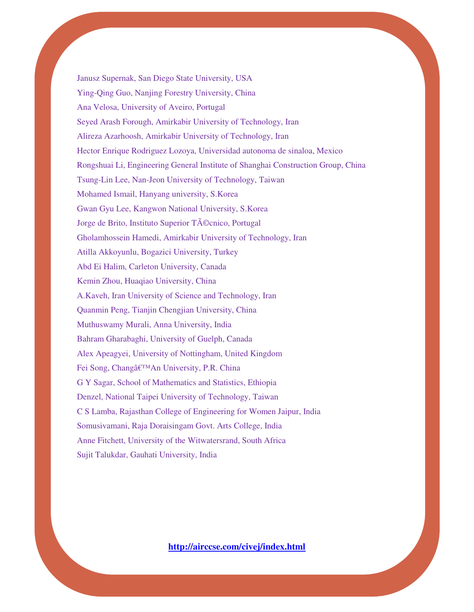Janusz Supernak, San Diego State University, USA Ying-Qing Guo, Nanjing Forestry University, China Ana Velosa, University of Aveiro, Portugal Seyed Arash Forough, Amirkabir University of Technology, Iran Alireza Azarhoosh, Amirkabir University of Technology, Iran Hector Enrique Rodriguez Lozoya, Universidad autonoma de sinaloa, Mexico Rongshuai Li, Engineering General Institute of Shanghai Construction Group, China Tsung-Lin Lee, Nan-Jeon University of Technology, Taiwan Mohamed Ismail, Hanyang university, S.Korea Gwan Gyu Lee, Kangwon National University, S.Korea Jorge de Brito, Instituto Superior Técnico, Portugal Gholamhossein Hamedi, Amirkabir University of Technology, Iran Atilla Akkoyunlu, Bogazici University, Turkey Abd Ei Halim, Carleton University, Canada Kemin Zhou, Huaqiao University, China A.Kaveh, Iran University of Science and Technology, Iran Quanmin Peng, Tianjin Chengjian University, China Muthuswamy Murali, Anna University, India Bahram Gharabaghi, University of Guelph, Canada Alex Apeagyei, University of Nottingham, United Kingdom Fei Song, Chang'An University, P.R. China G Y Sagar, School of Mathematics and Statistics, Ethiopia Denzel, National Taipei University of Technology, Taiwan C S Lamba, Rajasthan College of Engineering for Women Jaipur, India Somusivamani, Raja Doraisingam Govt. Arts College, India Anne Fitchett, University of the Witwatersrand, South Africa Sujit Talukdar, Gauhati University, India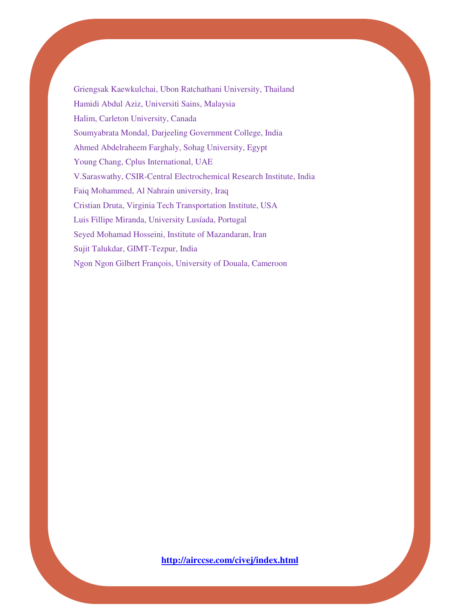Griengsak Kaewkulchai, Ubon Ratchathani University, Thailand Hamidi Abdul Aziz, Universiti Sains, Malaysia Halim, Carleton University, Canada Soumyabrata Mondal, Darjeeling Government College, India Ahmed Abdelraheem Farghaly, Sohag University, Egypt Young Chang, Cplus International, UAE V.Saraswathy, CSIR-Central Electrochemical Research Institute, India Faiq Mohammed, Al Nahrain university, Iraq Cristian Druta, Virginia Tech Transportation Institute, USA Luis Fillipe Miranda, University Lusíada, Portugal Seyed Mohamad Hosseini, Institute of Mazandaran, Iran Sujit Talukdar, GIMT-Tezpur, India Ngon Ngon Gilbert François, University of Douala, Cameroon